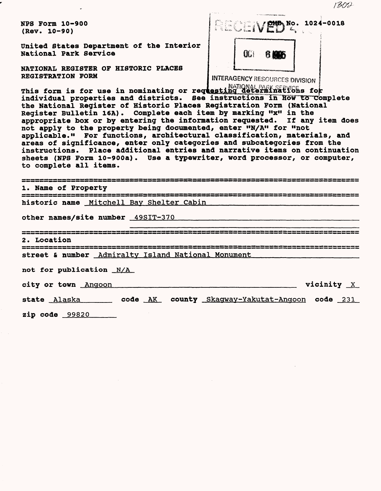1302

NPS Form 10-900  $\left|\left|\left|\left|\left|\left|\left|\left|\right|\right|\right|\right|\right|\right|\right|^{2}$ (Rev. 10-90)

United States Department of the Interior National Park Service

NATIONAL REGISTER OF HISTORIC PLACES REGISTRATION FORM



This form is for use in nominating or requesting determinations for individual properties and districts. See instructions in How to Complete the National Register of Historic Places Registration Form (National Register Bulletin 16A). Complete each item by marking "x" in the appropriate box or by entering the information requested. If any item does not apply to the property being documented, enter "N/A" for "not applicable." For functions, architectural classification, materials, and areas of significance, enter only categories and subcategories from the instructions. Place additional entries and narrative items on continuation sheets (NPS Form 10-900a). Use a typewriter, word processor, or computer, to complete all items.

| 1. Name of Property                                         |
|-------------------------------------------------------------|
| historic name Mitchell Bay Shelter Cabin                    |
| other names/site number 49SIT-370                           |
| 2. Location                                                 |
| street & number Admiralty Island National Monument          |
| not for publication N/A                                     |
| vicinity X<br>city or town Angoon                           |
| state Alaska code AK county Skaqway-Yakutat-Angoon code 231 |
| $zip$ code $99820$                                          |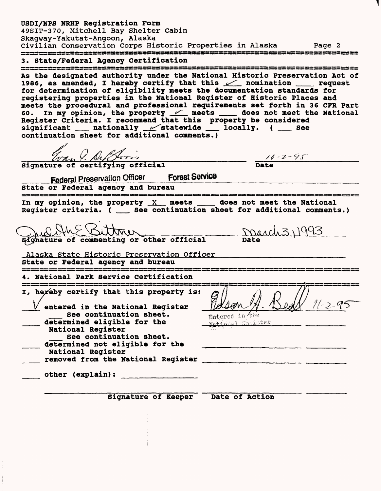| USDI/NPS NRHP Registration Form<br>49SIT-370, Mitchell Bay Shelter Cabin<br>Skaqway-Yakutat-Angoon, Alaska<br>Civilian Conservation Corps Historic Properties in Alaska and Page 2                                                                                                                                                                                                                                                                                                                                                                                                                                                                                        |                                                      |  |  |  |  |  |  |
|---------------------------------------------------------------------------------------------------------------------------------------------------------------------------------------------------------------------------------------------------------------------------------------------------------------------------------------------------------------------------------------------------------------------------------------------------------------------------------------------------------------------------------------------------------------------------------------------------------------------------------------------------------------------------|------------------------------------------------------|--|--|--|--|--|--|
| 3. State/Federal Agency Certification                                                                                                                                                                                                                                                                                                                                                                                                                                                                                                                                                                                                                                     |                                                      |  |  |  |  |  |  |
| As the designated authority under the National Historic Preservation Act of<br>1986, as amended, I hereby certify that this $\angle$ nomination _____ request<br>for determination of eligibility meets the documentation standards for<br>registering properties in the National Register of Historic Places and<br>meets the procedural and professional requirements set forth in 36 CFR Part<br>60. In my opinion, the property $\swarrow$ meets _____ does not meet the National<br>Register Criteria. I recommend that this property be considered<br>significant ___ nationally _estatewide ___ locally. ( ___ See<br>continuation sheet for additional comments.) |                                                      |  |  |  |  |  |  |
| Signature of certifying official                                                                                                                                                                                                                                                                                                                                                                                                                                                                                                                                                                                                                                          |                                                      |  |  |  |  |  |  |
|                                                                                                                                                                                                                                                                                                                                                                                                                                                                                                                                                                                                                                                                           | $70 - 2 - 95$                                        |  |  |  |  |  |  |
| State or Federal agency and bureau                                                                                                                                                                                                                                                                                                                                                                                                                                                                                                                                                                                                                                        | <b>Federal Preservation Officer Forest Service</b>   |  |  |  |  |  |  |
| Register criteria. ( __ See continuation sheet for additional comments.)<br>Signature of commenting or other official<br>Alaska State Historic Preservation Officer<br>State or Federal agency and bureau                                                                                                                                                                                                                                                                                                                                                                                                                                                                 | $\frac{\text{Mald3}}{\text{Date}}$                   |  |  |  |  |  |  |
| 4. National Park Service Certification                                                                                                                                                                                                                                                                                                                                                                                                                                                                                                                                                                                                                                    |                                                      |  |  |  |  |  |  |
| I, hereby certify that this property is: $\rho$ /<br>entered in the National Register<br>See continuation sheet.<br>determined eligible for the<br>National Register<br>See continuation sheet.<br>determined not eligible for the<br>National Register<br>removed from the National Register<br>other (explain):                                                                                                                                                                                                                                                                                                                                                         | $11 - 2 - 95$<br>Entered in the<br>Netional Resinter |  |  |  |  |  |  |
| <b>Signature of Keeper</b>                                                                                                                                                                                                                                                                                                                                                                                                                                                                                                                                                                                                                                                | Date of Action                                       |  |  |  |  |  |  |

l.

 $\frac{1}{1}$ 

 $\begin{array}{c} \begin{array}{c} \begin{array}{c} \begin{array}{c} \end{array} \\ \end{array} \end{array} \end{array}$ 

٦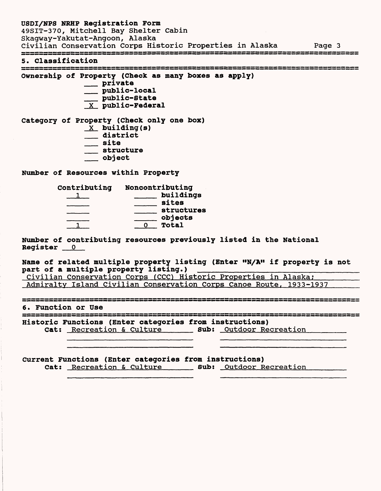| USDI/NPS NRHP Registration Form<br>49SIT-370, Mitchell Bay Shelter Cabin<br>Skagway-Yakutat-Angoon, Alaska                                                                                                                          |
|-------------------------------------------------------------------------------------------------------------------------------------------------------------------------------------------------------------------------------------|
| Civilian Conservation Corps Historic Properties in Alaska<br>Page 3                                                                                                                                                                 |
| 5. Classification                                                                                                                                                                                                                   |
| .<br>2004 - 1910 - 1911 - 1912 - 1913 - 1914 - 1915 - 1916 - 1917 - 1918 - 1918 - 1919 - 1919 - 1919 - 1919 - 1919<br>1919 - 1919 - 1919 - 1919 - 1919 - 1919 - 1919 - 1919 - 1919 - 1919 - 1919 - 1919 - 1919 - 1919 - 1919 - 1919 |
| Ownership of Property (Check as many boxes as apply)<br>__ private<br>__ public-local<br>____ public-State<br>$X$ public-Federal                                                                                                    |
| Category of Property (Check only one box)<br>$X$ building(s)<br>__ district<br>$-$ site<br>__ structure<br>___ object                                                                                                               |
| Number of Resources within Property                                                                                                                                                                                                 |
| Contributing Noncontributing<br>buildings<br>$\frac{1}{\sqrt{1-\frac{1}{2}}}$<br>sites<br>structures<br>objects<br>$\frac{1}{1}$<br>0 Total                                                                                         |
| Number of contributing resources previously listed in the National<br>Register 0                                                                                                                                                    |
| Name of related multiple property listing (Enter "N/A" if property is not<br>part of a multiple property listing.)                                                                                                                  |
| Civilian Conservation Corps (CCC) Historic Properties in Alaska;                                                                                                                                                                    |
| Admiralty Island Civilian Conservation Corps Canoe Route, 1933-1937                                                                                                                                                                 |
|                                                                                                                                                                                                                                     |
| Function or Use                                                                                                                                                                                                                     |
| Historic Functions (Enter categories from instructions)<br>Cat: Recreation & Culture _______ Sub: Outdoor Recreation                                                                                                                |
| Current Functions (Enter categories from instructions)<br>Cat: Recreation & Culture _____ sub: _Outdoor Recreation                                                                                                                  |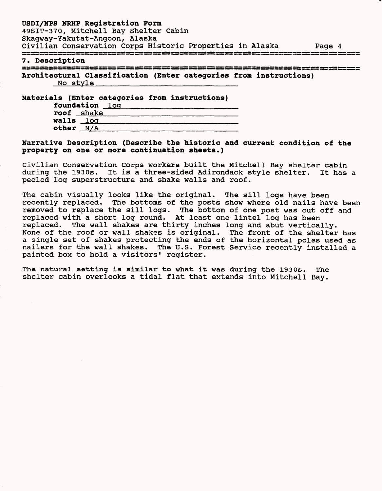| USDI/NPS NRHP Registration Form                                                                                                         |        |  |
|-----------------------------------------------------------------------------------------------------------------------------------------|--------|--|
| 49SIT-370, Mitchell Bay Shelter Cabin                                                                                                   |        |  |
| Skaqway-Yakutat-Anqoon, Alaska                                                                                                          |        |  |
| Civilian Conservation Corps Historic Properties in Alaska                                                                               | Page 4 |  |
| -----<br>ا دار این خواب کا این این دار ای کا در این کا ای کا در دو در این دارد و در دارد و در دارد و در این در در دارد و در در در در در |        |  |

#### **7. Description**

<u>www.com/services/com/com/services/com/services/www.com/services/com/services/com/services/com/services/com/ser</u> **Architectural Classification (Enter categories from instructions)** No style\_\_\_\_\_\_\_\_\_\_\_\_\_\_\_\_\_\_\_\_\_\_\_\_\_\_

**Materials (Enter categories from instructions)**

|                  | __ _ _ _ _ _ _ _ _ _ _ _ _<br>foundation log |  |
|------------------|----------------------------------------------|--|
|                  | roof shake                                   |  |
| walls <u>loq</u> |                                              |  |
| other N/A        |                                              |  |

### **Narrative Description (Describe the historic and current condition of the property on one or more continuation sheets.)**

Civilian Conservation Corps workers built the Mitchell Bay shelter cabin during the 1930s. It is a three-sided Adirondack style shelter. It has a peeled log superstructure and shake walls and roof.

The cabin visually looks like the original. The sill logs have been recently replaced. The bottoms of the posts show where old nails have been removed to replace the sill logs. The bottom of one post was cut off and replaced with a short log round. At least one lintel log has been replaced. The wall shakes are thirty inches long and abut vertically. None of the roof or wall shakes is original. The front of the shelter has a single set of shakes protecting the ends of the horizontal poles used as nailers for the wall shakes. The U.S. Forest Service recently installed a painted box to hold a visitors' register.

The natural setting is similar to what it was during the 1930s. The shelter cabin overlooks a tidal flat that extends into Mitchell Bay.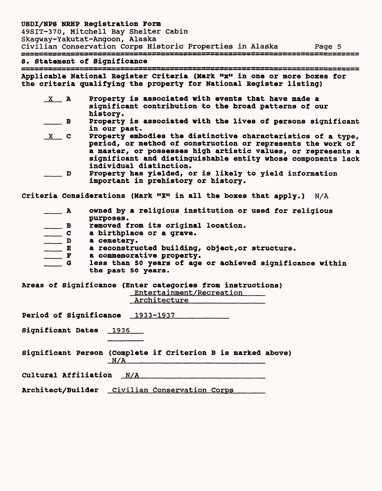|                                                                                                                                                                                                                                                                                                                                                                                                                                                                                                                                                                                                                                                                                                                                                                                                                                                                               | USDI/NPS NRHP Registration Form<br>49SIT-370, Mitchell Bay Shelter Cabin<br>Skagway-Yakutat-Angoon, Alaska                                                                                                                                                                                                                                                                                        |
|-------------------------------------------------------------------------------------------------------------------------------------------------------------------------------------------------------------------------------------------------------------------------------------------------------------------------------------------------------------------------------------------------------------------------------------------------------------------------------------------------------------------------------------------------------------------------------------------------------------------------------------------------------------------------------------------------------------------------------------------------------------------------------------------------------------------------------------------------------------------------------|---------------------------------------------------------------------------------------------------------------------------------------------------------------------------------------------------------------------------------------------------------------------------------------------------------------------------------------------------------------------------------------------------|
|                                                                                                                                                                                                                                                                                                                                                                                                                                                                                                                                                                                                                                                                                                                                                                                                                                                                               | Civilian Conservation Corps Historic Properties in Alaska Bage 5                                                                                                                                                                                                                                                                                                                                  |
| .<br>و مرک نکار میں میں قریب ڈائٹ سے نکی ایک ایک میں بچک کی میں بھی بھی ہے۔ ویں پیپلز کی ایک آئی سے میں سے اپنی میں<br>ان میں نکار کی بھی میں گئی میں نکار کی اس میں بھی ایک میں میں میں میں میں عالم میں ایک انتہار میں میں بھی می                                                                                                                                                                                                                                                                                                                                                                                                                                                                                                                                                                                                                                           | 8. Statement of Significance                                                                                                                                                                                                                                                                                                                                                                      |
|                                                                                                                                                                                                                                                                                                                                                                                                                                                                                                                                                                                                                                                                                                                                                                                                                                                                               | Applicable National Register Criteria (Mark "x" in one or more boxes for<br>the criteria qualifying the property for National Register listing)                                                                                                                                                                                                                                                   |
| $X$ $A$                                                                                                                                                                                                                                                                                                                                                                                                                                                                                                                                                                                                                                                                                                                                                                                                                                                                       | Property is associated with events that have made a<br>significant contribution to the broad patterns of our<br>history.                                                                                                                                                                                                                                                                          |
| $\overline{\phantom{a}}$ B                                                                                                                                                                                                                                                                                                                                                                                                                                                                                                                                                                                                                                                                                                                                                                                                                                                    | Property is associated with the lives of persons significant<br>in our past.                                                                                                                                                                                                                                                                                                                      |
| $X$ $C$                                                                                                                                                                                                                                                                                                                                                                                                                                                                                                                                                                                                                                                                                                                                                                                                                                                                       | Property embodies the distinctive characteristics of a type,<br>period, or method of construction or represents the work of<br>a master, or possesses high artistic values, or represents a<br>significant and distinguishable entity whose components lack<br>individual distinction.                                                                                                            |
| $\blacksquare$                                                                                                                                                                                                                                                                                                                                                                                                                                                                                                                                                                                                                                                                                                                                                                                                                                                                | Property has yielded, or is likely to yield information<br>important in prehistory or history.                                                                                                                                                                                                                                                                                                    |
| $\overline{\phantom{1}}$ $\overline{\phantom{1}}$<br>$\qquad \qquad \bullet$<br>$\overline{\phantom{a}}$ c<br>$\overline{\phantom{a}}$ D<br>$\qquad \qquad$ $\qquad$ $\qquad$ $\qquad$ $\qquad$ $\qquad$ $\qquad$ $\qquad$ $\qquad$ $\qquad$ $\qquad$ $\qquad$ $\qquad$ $\qquad$ $\qquad$ $\qquad$ $\qquad$ $\qquad$ $\qquad$ $\qquad$ $\qquad$ $\qquad$ $\qquad$ $\qquad$ $\qquad$ $\qquad$ $\qquad$ $\qquad$ $\qquad$ $\qquad$ $\qquad$ $\qquad$ $\qquad$ $\qquad$ $\qquad$ $\qquad$ $\$<br>$\qquad \qquad$ $\qquad \qquad$ $\qquad$ $\qquad$ $\qquad$ $\qquad$ $\qquad$ $\qquad$ $\qquad$ $\qquad$ $\qquad$ $\qquad$ $\qquad$ $\qquad$ $\qquad$ $\qquad$ $\qquad$ $\qquad$ $\qquad$ $\qquad$ $\qquad$ $\qquad$ $\qquad$ $\qquad$ $\qquad$ $\qquad$ $\qquad$ $\qquad$ $\qquad$ $\qquad$ $\qquad$ $\qquad$ $\qquad$ $\qquad$ $\qquad$ $\qquad$<br>$\overline{\phantom{a}}$ G | Criteria Considerations (Mark "X" in all the boxes that apply.) $N/A$<br>owned by a religious institution or used for religious<br>purposes.<br>removed from its original location.<br>a birthplace or a grave.<br>a cemetery.<br>a reconstructed building, object, or structure.<br>a commemorative property.<br>less than 50 years of age or achieved significance within<br>the past 50 years. |
|                                                                                                                                                                                                                                                                                                                                                                                                                                                                                                                                                                                                                                                                                                                                                                                                                                                                               | Areas of Significance (Enter categories from instructions)<br>Entertainment/Recreation<br>Architecture                                                                                                                                                                                                                                                                                            |
|                                                                                                                                                                                                                                                                                                                                                                                                                                                                                                                                                                                                                                                                                                                                                                                                                                                                               | Period of Significance 1933-1937                                                                                                                                                                                                                                                                                                                                                                  |
|                                                                                                                                                                                                                                                                                                                                                                                                                                                                                                                                                                                                                                                                                                                                                                                                                                                                               | Significant Dates 1936                                                                                                                                                                                                                                                                                                                                                                            |
|                                                                                                                                                                                                                                                                                                                                                                                                                                                                                                                                                                                                                                                                                                                                                                                                                                                                               | Significant Person (Complete if Criterion B is marked above)<br>N/A                                                                                                                                                                                                                                                                                                                               |
|                                                                                                                                                                                                                                                                                                                                                                                                                                                                                                                                                                                                                                                                                                                                                                                                                                                                               | Cultural Affiliation N/A<br>Manuscription N/A                                                                                                                                                                                                                                                                                                                                                     |
|                                                                                                                                                                                                                                                                                                                                                                                                                                                                                                                                                                                                                                                                                                                                                                                                                                                                               | Architect/Builder Civilian Conservation Corps                                                                                                                                                                                                                                                                                                                                                     |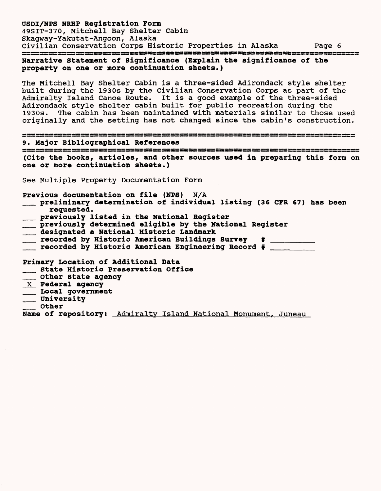# USDI/NPS NRHP Registration Form 49SIT-370, Mitchell Bay Shelter Cabin Skagway-Yakutat-Angoon, Alaska Civilian Conservation Corps Historic Properties in Alaska Page 6 Narrative statement of Significance (Explain the significance of the property on one or more continuation sheets.) The Mitchell Bay Shelter Cabin is a three-sided Adirondack style shelter built during the 1930s by the Civilian Conservation Corps as part of the Admiralty Island Canoe Route. It is a good example of the three-sided Adirondack style shelter cabin built for public recreation during the 1930s. The cabin has been maintained with materials similar to those used originally and the setting has not changed since the cabin's construction. 9. Major Bibliographical References (Cite the books, articles, and other sources used in preparing this form on one or more continuation sheets.) See Multiple Property Documentation Form Previous documentation on file (NPS) N/A \_\_ preliminary determination of individual listing (36 CFR 67) has been requested. \_\_ previously listed in the National Register \_\_ previously determined eligible by the National Register designated a National Historic Landmark  $\hspace{.8cm}$  recorded by Historic American Buildings Survey  $\hspace{.1cm}$  #  $\hspace{.1cm}$  \_\_\_\_\_\_\_\_\_ \_\_\_\_\_ recorded by Historic American Engineering Record # \_\_\_\_\_\_\_

Primary Location of Additional Data

- \_\_ State Historic Preservation Office
- \_\_ Other State agency
- $X$  Federal agency
- Local government
- \_\_ University
- \_\_ other

Name of repository: Admiralty Island National Monument, Juneau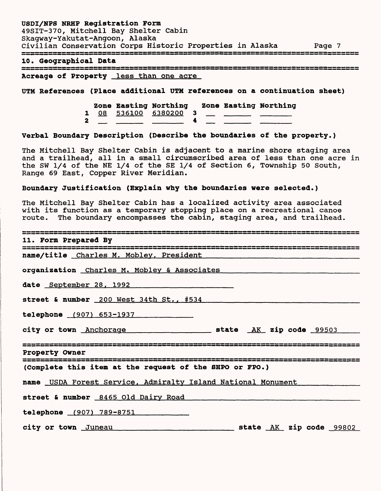| USDI/NPS NRHP Registration Form |  | 49SIT-370, Mitchell Bay Shelter Cabin |                                                                                                                                                                                                                               |  |        |  |
|---------------------------------|--|---------------------------------------|-------------------------------------------------------------------------------------------------------------------------------------------------------------------------------------------------------------------------------|--|--------|--|
| Skaqway-Yakutat-Anqoon, Alaska  |  |                                       | Civilian Conservation Corps Historic Properties in Alaska                                                                                                                                                                     |  | Page 7 |  |
|                                 |  |                                       | ی سے بن کا اور اس کا اب کہ اس کا اس کا اس کے میں کہ اس کے اس کے اس کے اس کے اس کے اس کے اس کے اس کے اس کے اس کے اس کے اس کے اس کے اس کے اس کے اس کے اس کے اس کے اس کے اس کے اس کے اس کے اس کے اس کے اس کے اس کے اس کے اس کے ا |  |        |  |

#### 10. Geographical Data

Acreage of Property less than one acre

UTM References (Place additional UTM references on a continuation sheet)

Zone Easting Northing Zone Easting Northing 1 08 536100 6380200 3 \_ \_\_\_\_\_ \_\_\_\_\_\_  $\frac{08}{2}$   $\frac{536100}{2}$   $\frac{6380200}{4}$   $\frac{3}{4}$   $\frac{3}{4}$   $\frac{3}{4}$   $\frac{3}{4}$   $\frac{3}{4}$   $\frac{3}{4}$   $\frac{3}{4}$   $\frac{3}{4}$   $\frac{3}{4}$   $\frac{3}{4}$   $\frac{3}{4}$   $\frac{3}{4}$   $\frac{3}{4}$   $\frac{3}{4}$   $\frac{3}{4}$   $\frac{3}{4}$   $\frac{3}{4}$   $\frac{3}{4}$ 

Verbal Boundary Description (Describe the boundaries of the property.)

The Mitchell Bay Shelter Cabin is adjacent to a marine shore staging area and a trailhead, all in a small circumscribed area of less than one acre in the SW 1/4 of the NE 1/4 of the SE 1/4 of Section 6, Township 50 South, Range 69 East, Copper River Meridian.

#### Boundary Justification (Explain why the boundaries were selected.)

The Mitchell Bay Shelter Cabin has a localized activity area associated with its function as a temporary stopping place on a recreational canoe route. The boundary encompasses the cabin, staging area, and trailhead.

# 

11. Form Prepared By name/title Charles M. Mobley, President

organization Charles M. Moblev & Associates

date September 28, 1992

street & number 200 West 34th St., #534

telephone (907) 653-1937

city or town Anchorage\_\_\_\_\_\_\_\_\_\_\_\_\_\_\_ state AK zip code 99503

Property Owner

(Complete this item at the request of the 8HPO or FPO.)

name USDA Forest Service, Admiralty Island National Monument

street & number 8465 Old Dairy Road

telephone (907) 789-8751

city or town Juneau \_\_\_\_\_\_\_\_\_\_\_\_\_\_\_\_\_\_\_\_\_\_\_\_\_\_\_\_\_\_\_\_\_\_ state \_AK zip code \_99802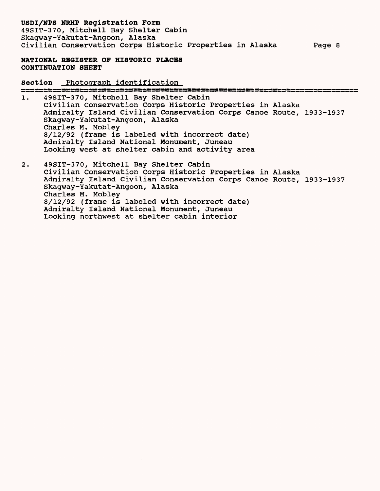## **NATIONAL REGISTER OF HISTORIC PLACES CONTINUATION SHEET**

Section Photograph identification

- 1. 49SIT-370, Mitchell Bay Shelter Cabin Civilian Conservation Corps Historic Properties in Alaska Admiralty Island Civilian Conservation Corps Canoe Route, 1933-1937 Skagway-Yakutat-Angoon, Alaska Charles M. Mobley 8/12/92 (frame is labeled with incorrect date) Admiralty Island National Monument, Juneau Looking west at shelter cabin and activity area
- 2. 49SIT-370, Mitchell Bay Shelter Cabin Civilian Conservation Corps Historic Properties in Alaska Admiralty Island Civilian Conservation Corps Canoe Route, 1933-1937 Skagway-Yakutat-Angoon, Alaska Charles M. Mobley 8/12/92 (frame is labeled with incorrect date) Admiralty Island National Monument, Juneau Looking northwest at shelter cabin interior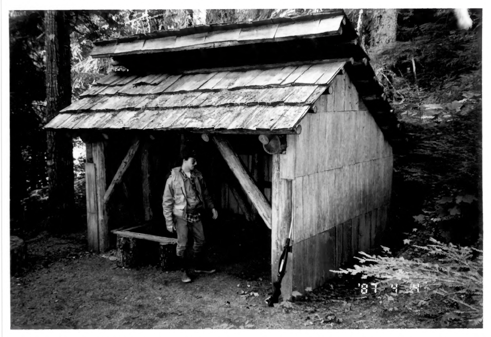